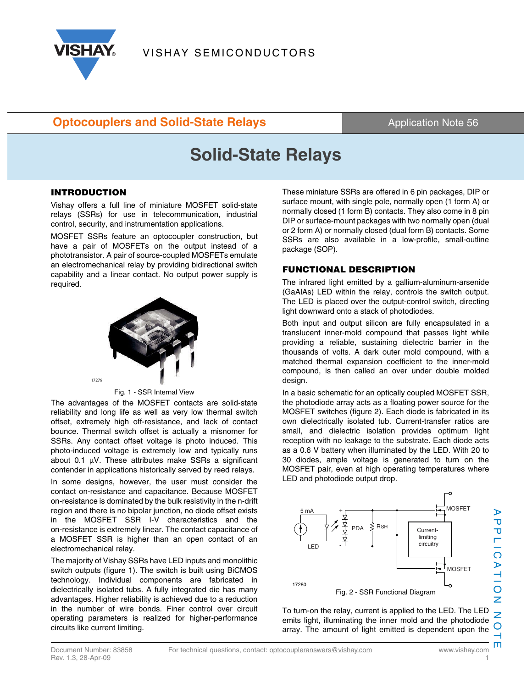

### **Optocouplers and Solid-State Relays Application Note 56 Contract Application Note 56**

# **Solid-State Relays**

#### **INTRODUCTION**

Vishay offers a full line of miniature MOSFET solid-state relays (SSRs) for use in telecommunication, industrial control, security, and instrumentation applications.

MOSFET SSRs feature an optocoupler construction, but have a pair of MOSFETs on the output instead of a phototransistor. A pair of source-coupled MOSFETs emulate an electromechanical relay by providing bidirectional switch capability and a linear contact. No output power supply is required.



Fig. 1 - SSR Internal View

The advantages of the MOSFET contacts are solid-state reliability and long life as well as very low thermal switch offset, extremely high off-resistance, and lack of contact bounce. Thermal switch offset is actually a misnomer for SSRs. Any contact offset voltage is photo induced. This photo-induced voltage is extremely low and typically runs about 0.1 µV. These attributes make SSRs a significant contender in applications historically served by reed relays.

In some designs, however, the user must consider the contact on-resistance and capacitance. Because MOSFET on-resistance is dominated by the bulk resistivity in the n-drift region and there is no bipolar junction, no diode offset exists in the MOSFET SSR I-V characteristics and the on-resistance is extremely linear. The contact capacitance of a MOSFET SSR is higher than an open contact of an electromechanical relay.

The majority of Vishay SSRs have LED inputs and monolithic switch outputs (figure 1). The switch is built using BiCMOS technology. Individual components are fabricated in dielectrically isolated tubs. A fully integrated die has many advantages. Higher reliability is achieved due to a reduction in the number of wire bonds. Finer control over circuit operating parameters is realized for higher-performance circuits like current limiting.

These miniature SSRs are offered in 6 pin packages, DIP or surface mount, with single pole, normally open (1 form A) or normally closed (1 form B) contacts. They also come in 8 pin DIP or surface-mount packages with two normally open (dual or 2 form A) or normally closed (dual form B) contacts. Some SSRs are also available in a low-profile, small-outline package (SOP).

#### **FUNCTIONAL DESCRIPTION**

The infrared light emitted by a gallium-aluminum-arsenide (GaAlAs) LED within the relay, controls the switch output. The LED is placed over the output-control switch, directing light downward onto a stack of photodiodes.

Both input and output silicon are fully encapsulated in a translucent inner-mold compound that passes light while providing a reliable, sustaining dielectric barrier in the thousands of volts. A dark outer mold compound, with a matched thermal expansion coefficient to the inner-mold compound, is then called an over under double molded design.

In a basic schematic for an optically coupled MOSFET SSR, the photodiode array acts as a floating power source for the MOSFET switches (figure 2). Each diode is fabricated in its own dielectrically isolated tub. Current-transfer ratios are small, and dielectric isolation provides optimum light reception with no leakage to the substrate. Each diode acts as a 0.6 V battery when illuminated by the LED. With 20 to 30 diodes, ample voltage is generated to turn on the MOSFET pair, even at high operating temperatures where LED and photodiode output drop.



APPLICATION NOTE To turn-on the relay, current is applied to the LED. The LED emits light, illuminating the inner mold and the photodiode array. The amount of light emitted is dependent upon the

τ  $\frac{1}{\Gamma}$ 

ICATION

 $\overline{z}$ O

m